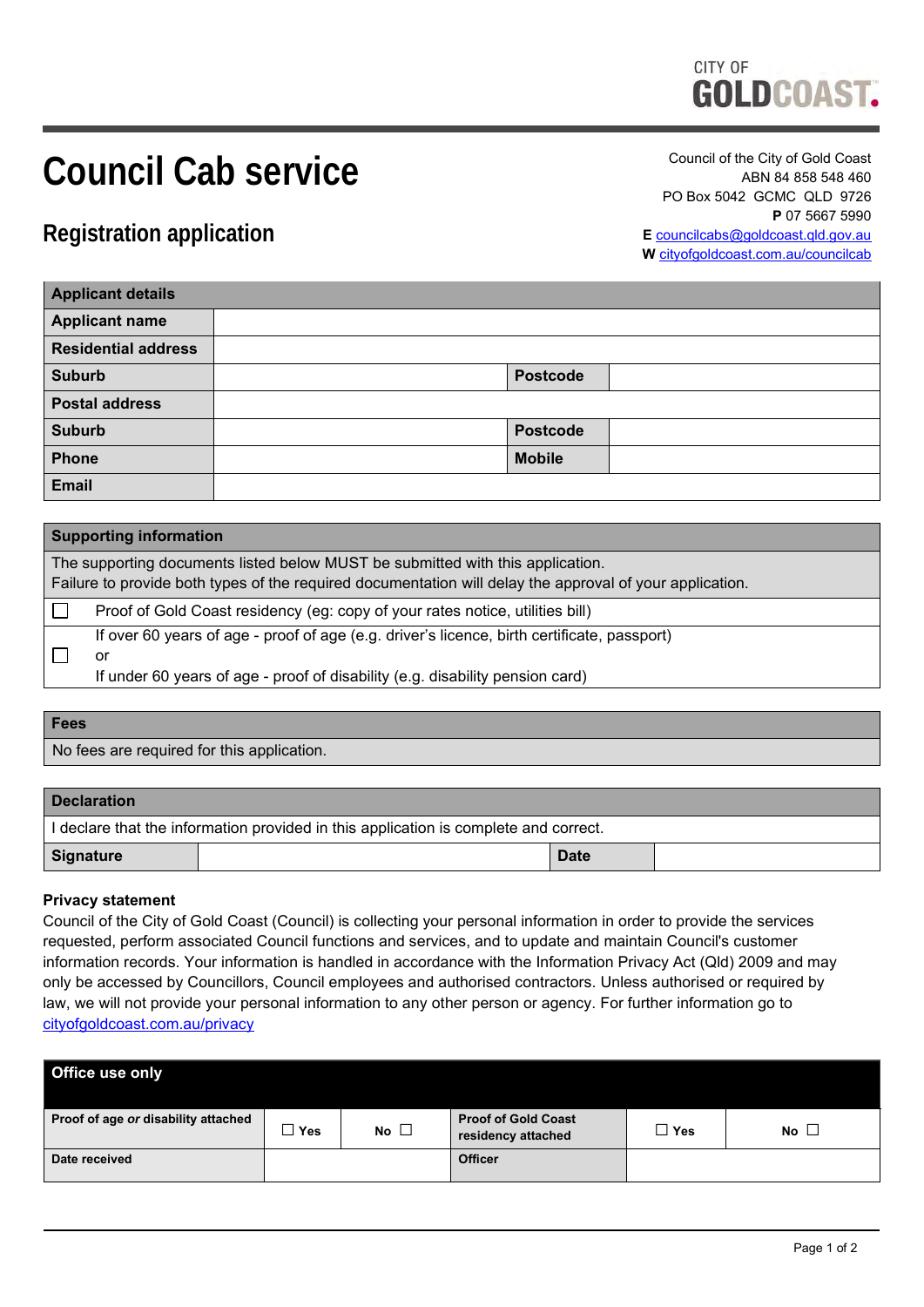# CITY OF **GOLDCOAST.**

# **Council Cab service**

Council of the City of Gold Coast ABN 84 858 548 460 PO Box 5042 GCMC QLD 9726 **P** 07 5667 5990 **E** [councilcabs@goldcoast.qld.gov.au](mailto:councilcabs@goldcoast.qld.gov.au) **W** [cityofgoldcoast.com.au/councilcab](http://www.goldcoast.qld.gov.au/councilcab)

**Registration application**

| <b>Applicant details</b>   |                 |  |  |  |  |  |
|----------------------------|-----------------|--|--|--|--|--|
| <b>Applicant name</b>      |                 |  |  |  |  |  |
| <b>Residential address</b> |                 |  |  |  |  |  |
| <b>Suburb</b>              | <b>Postcode</b> |  |  |  |  |  |
| <b>Postal address</b>      |                 |  |  |  |  |  |
| <b>Suburb</b>              | <b>Postcode</b> |  |  |  |  |  |
| Phone                      | <b>Mobile</b>   |  |  |  |  |  |
| <b>Email</b>               |                 |  |  |  |  |  |

| <b>Supporting information</b>                                                                                                                                                              |                                                                                                                                                                                    |  |  |  |  |
|--------------------------------------------------------------------------------------------------------------------------------------------------------------------------------------------|------------------------------------------------------------------------------------------------------------------------------------------------------------------------------------|--|--|--|--|
| The supporting documents listed below MUST be submitted with this application.<br>Failure to provide both types of the required documentation will delay the approval of your application. |                                                                                                                                                                                    |  |  |  |  |
|                                                                                                                                                                                            | Proof of Gold Coast residency (eg: copy of your rates notice, utilities bill)                                                                                                      |  |  |  |  |
|                                                                                                                                                                                            | If over 60 years of age - proof of age (e.g. driver's licence, birth certificate, passport)<br>or<br>If under 60 years of age - proof of disability (e.g. disability pension card) |  |  |  |  |

## **Fees**

No fees are required for this application.

| <b>Declaration</b>                                                                   |  |             |  |  |  |  |  |
|--------------------------------------------------------------------------------------|--|-------------|--|--|--|--|--|
| I declare that the information provided in this application is complete and correct. |  |             |  |  |  |  |  |
| Signature                                                                            |  | <b>Date</b> |  |  |  |  |  |

## **Privacy statement**

Council of the City of Gold Coast (Council) is collecting your personal information in order to provide the services requested, perform associated Council functions and services, and to update and maintain Council's customer information records. Your information is handled in accordance with the Information Privacy Act (Qld) 2009 and may only be accessed by Councillors, Council employees and authorised contractors. Unless authorised or required by law, we will not provide your personal information to any other person or agency. For further information go to [cityofgoldcoast.com.au/privacy](http://www.cityofgoldcoast.com.au/privacy)

| Office use only                     |       |              |                                                  |            |           |  |  |  |  |
|-------------------------------------|-------|--------------|--------------------------------------------------|------------|-----------|--|--|--|--|
| Proof of age or disability attached | ⊥ Yes | No $\square$ | <b>Proof of Gold Coast</b><br>residency attached | $\Box$ Yes | No $\Box$ |  |  |  |  |
| Date received                       |       |              | <b>Officer</b>                                   |            |           |  |  |  |  |